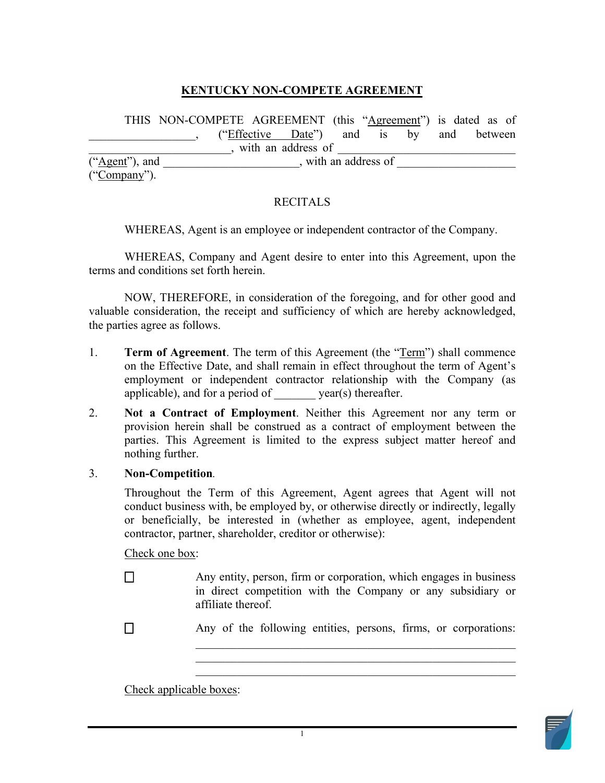## **KENTUCKY NON-COMPETE AGREEMENT**

 $("Agent"), and$   $\qquad \qquad$ , with an address of  $\qquad \qquad$  $("Compary").$ THIS NON-COMPETE AGREEMENT (this "Agreement") is dated as of ("Effective Date") and is by and between  $\longrightarrow$ , with an address of ("Company").<br>RECITALS

WHEREAS, Agent is an employee or independent contractor of the Company.

terms and conditions set forth herein. WHEREAS, Company and Agent desire to enter into this Agreement, upon the

NOW, THEREFORE, in consideration of the foregoing, and for other good and valuable consideration, the receipt and sufficiency of which are hereby acknowledged, the parties agree as follows.

- on the Effective Date, and shall remain in effect throughout the term of Agent's applicable), and for a period of \_\_\_\_\_\_\_ year(s) thereafter. 1. **Term of Agreement**. The term of this Agreement (the "Term") shall commence employment or independent contractor relationship with the Company (as
- parties. This Agreement is limited to the express subject matter hereof and nothing further. 2. **Not a Contract of Employment**. Neither this Agreement nor any term or provision herein shall be construed as a contract of employment between the

## 3. **Non-Competition***.*

 Throughout the Term of this Agreement, Agent agrees that Agent will not contractor, partner, shareholder, creditor or otherwise): conduct business with, be employed by, or otherwise directly or indirectly, legally or beneficially, be interested in (whether as employee, agent, independent

Check one box:

- **□** Any entity, person, firm or corporation, which engages in business in direct competition with the Company or any subsidiary or affiliate thereof.
- **□** Any of the following entities, persons, firms, or corporations:

\_\_\_\_\_\_\_\_\_\_\_\_\_\_\_\_\_\_\_\_\_\_\_\_\_\_\_\_\_\_\_\_\_\_\_\_\_\_\_\_\_\_\_\_\_\_\_\_\_\_\_\_\_\_

Check applicable boxes:

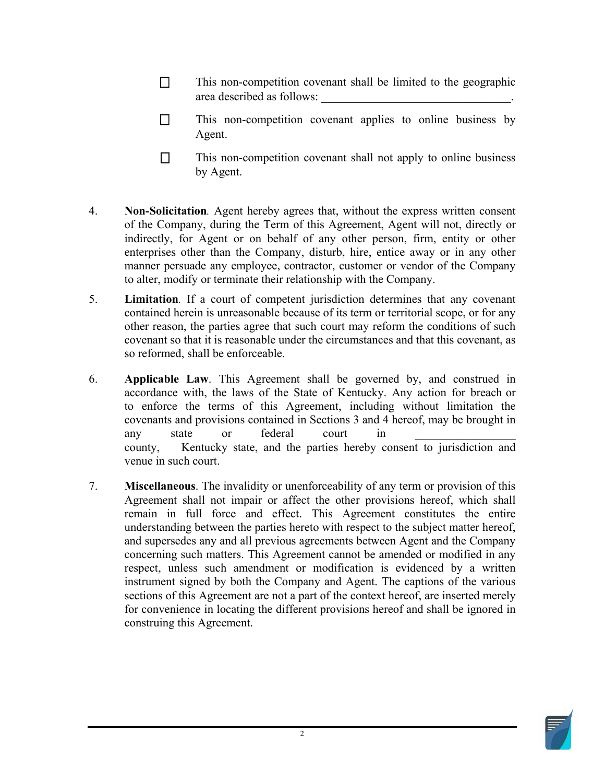- area described as follows: \_\_\_\_\_\_\_\_\_\_\_\_\_\_\_\_\_\_\_\_\_\_\_\_\_\_\_\_\_\_\_\_. □ This non-competition covenant shall be limited to the geographic
- **□** This non-competition covenant applies to online business by Agent.
- $\Box$  by Agent. This non-competition covenant shall not apply to online business
- **Non-Solicitation***.* Agent hereby agrees that, without the express written consent of the Company, during the Term of this Agreement, Agent will not, directly or indirectly, for Agent or on behalf of any other person, firm, entity or other enterprises other than the Company, disturb, hire, entice away or in any other manner persuade any employee, contractor, customer or vendor of the Company 4. to alter, modify or terminate their relationship with the Company.
- contained herein is unreasonable because of its term or territorial scope, or for any other reason, the parties agree that such court may reform the conditions of such 5. **Limitation***.* If a court of competent jurisdiction determines that any covenant covenant so that it is reasonable under the circumstances and that this covenant, as so reformed, shall be enforceable.
- 6. **Applicable Law**. This Agreement shall be governed by, and construed in accordance with, the laws of the State of Kentucky. Any action for breach or to enforce the terms of this Agreement, including without limitation the covenants and provisions contained in Sections 3 and 4 hereof, may be brought in any state or federal court in county, Kentucky state, and the parties hereby consent to jurisdiction and venue in such court.
- remain in full force and effect. This Agreement constitutes the entire understanding between the parties hereto with respect to the subject matter hereof, and supersedes any and all previous agreements between Agent and the Company respect, unless such amendment or modification is evidenced by a written sections of this Agreement are not a part of the context hereof, are inserted merely for convenience in locating the different provisions hereof and shall be ignored in 7. **Miscellaneous**. The invalidity or unenforceability of any term or provision of this Agreement shall not impair or affect the other provisions hereof, which shall concerning such matters. This Agreement cannot be amended or modified in any instrument signed by both the Company and Agent. The captions of the various construing this Agreement.